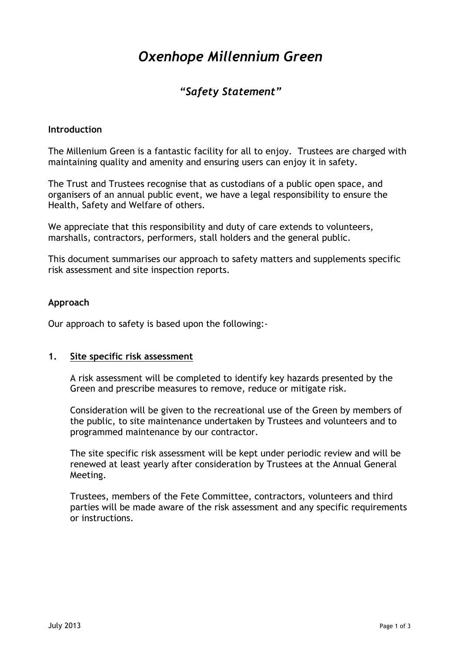# *Oxenhope Millennium Green*

# *"Safety Statement"*

#### **Introduction**

The Millenium Green is a fantastic facility for all to enjoy. Trustees are charged with maintaining quality and amenity and ensuring users can enjoy it in safety.

The Trust and Trustees recognise that as custodians of a public open space, and organisers of an annual public event, we have a legal responsibility to ensure the Health, Safety and Welfare of others.

We appreciate that this responsibility and duty of care extends to volunteers, marshalls, contractors, performers, stall holders and the general public.

This document summarises our approach to safety matters and supplements specific risk assessment and site inspection reports.

#### **Approach**

Our approach to safety is based upon the following:-

#### **1. Site specific risk assessment**

A risk assessment will be completed to identify key hazards presented by the Green and prescribe measures to remove, reduce or mitigate risk.

Consideration will be given to the recreational use of the Green by members of the public, to site maintenance undertaken by Trustees and volunteers and to programmed maintenance by our contractor.

The site specific risk assessment will be kept under periodic review and will be renewed at least yearly after consideration by Trustees at the Annual General Meeting.

Trustees, members of the Fete Committee, contractors, volunteers and third parties will be made aware of the risk assessment and any specific requirements or instructions.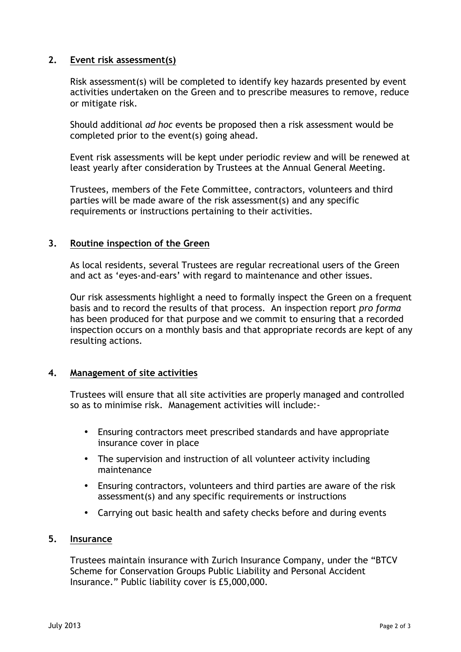## **2. Event risk assessment(s)**

Risk assessment(s) will be completed to identify key hazards presented by event activities undertaken on the Green and to prescribe measures to remove, reduce or mitigate risk.

Should additional *ad hoc* events be proposed then a risk assessment would be completed prior to the event(s) going ahead.

Event risk assessments will be kept under periodic review and will be renewed at least yearly after consideration by Trustees at the Annual General Meeting.

Trustees, members of the Fete Committee, contractors, volunteers and third parties will be made aware of the risk assessment(s) and any specific requirements or instructions pertaining to their activities.

# **3. Routine inspection of the Green**

As local residents, several Trustees are regular recreational users of the Green and act as 'eyes-and-ears' with regard to maintenance and other issues.

Our risk assessments highlight a need to formally inspect the Green on a frequent basis and to record the results of that process. An inspection report *pro forma* has been produced for that purpose and we commit to ensuring that a recorded inspection occurs on a monthly basis and that appropriate records are kept of any resulting actions.

#### **4. Management of site activities**

Trustees will ensure that all site activities are properly managed and controlled so as to minimise risk. Management activities will include:-

- Ensuring contractors meet prescribed standards and have appropriate insurance cover in place
- The supervision and instruction of all volunteer activity including maintenance
- Ensuring contractors, volunteers and third parties are aware of the risk assessment(s) and any specific requirements or instructions
- Carrying out basic health and safety checks before and during events

# **5. Insurance**

Trustees maintain insurance with Zurich Insurance Company, under the "BTCV Scheme for Conservation Groups Public Liability and Personal Accident Insurance." Public liability cover is £5,000,000.